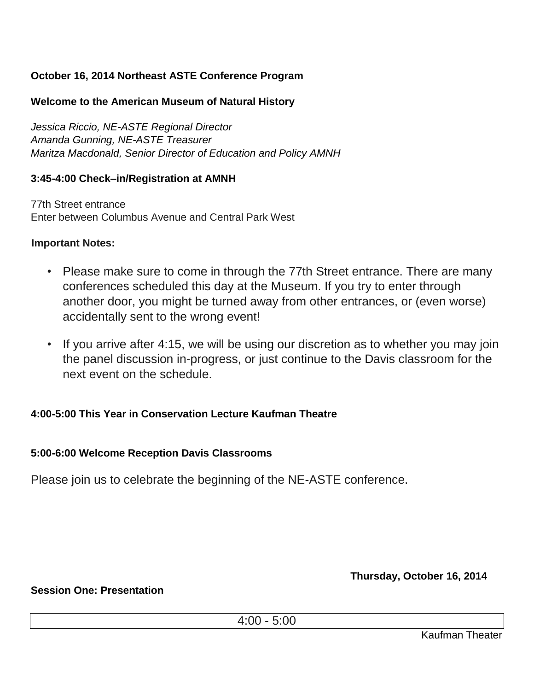# **October 16, 2014 Northeast ASTE Conference Program**

## **Welcome to the American Museum of Natural History**

*Jessica Riccio, NE-ASTE Regional Director Amanda Gunning, NE-ASTE Treasurer Maritza Macdonald, Senior Director of Education and Policy AMNH* 

## **3:45-4:00 Check–in/Registration at AMNH**

77th Street entrance Enter between Columbus Avenue and Central Park West

### **Important Notes:**

- Please make sure to come in through the 77th Street entrance. There are many conferences scheduled this day at the Museum. If you try to enter through another door, you might be turned away from other entrances, or (even worse) accidentally sent to the wrong event!
- If you arrive after 4:15, we will be using our discretion as to whether you may join the panel discussion in-progress, or just continue to the Davis classroom for the next event on the schedule.

## **4:00-5:00 This Year in Conservation Lecture Kaufman Theatre**

## **5:00-6:00 Welcome Reception Davis Classrooms**

Please join us to celebrate the beginning of the NE-ASTE conference.

**Thursday, October 16, 2014** 

#### **Session One: Presentation**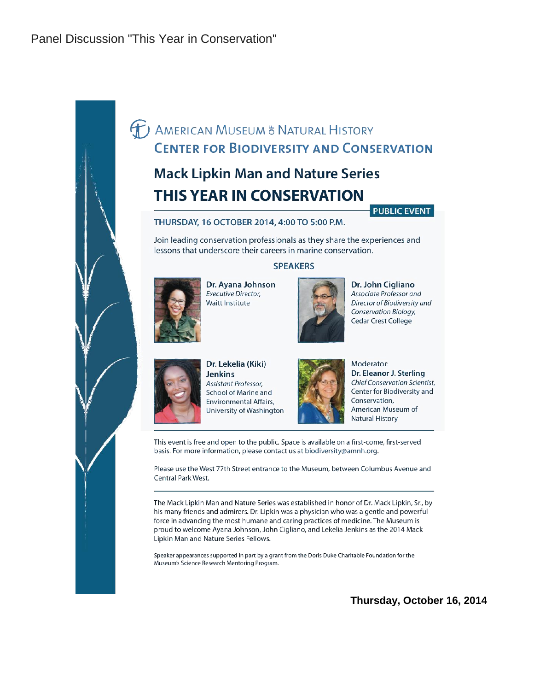Panel Discussion "This Year in Conservation"

# **T** AMERICAN MUSEUM & NATURAL HISTORY **CENTER FOR BIODIVERSITY AND CONSERVATION**

# **Mack Lipkin Man and Nature Series THIS YEAR IN CONSERVATION**

#### **PUBLIC EVENT**

#### THURSDAY, 16 OCTOBER 2014, 4:00 TO 5:00 P.M.

Join leading conservation professionals as they share the experiences and lessons that underscore their careers in marine conservation.

#### **SPEAKERS**



Dr. Ayana Johnson Executive Director, Waitt Institute

Dr. John Cigliano Associate Professor and Director of Biodiversity and Conservation Biology, **Cedar Crest College** 



Dr. Lekelia (Kiki) **Jenkins Assistant Professor,** School of Marine and **Environmental Affairs,** University of Washington



Moderator: Dr. Eleanor J. Sterling **Chief Conservation Scientist,** Center for Biodiversity and Conservation, American Museum of **Natural History** 

This event is free and open to the public. Space is available on a first-come, first-served basis. For more information, please contact us at biodiversity@amnh.org.

Please use the West 77th Street entrance to the Museum, between Columbus Avenue and Central Park West.

The Mack Lipkin Man and Nature Series was established in honor of Dr. Mack Lipkin, Sr., by his many friends and admirers. Dr. Lipkin was a physician who was a gentle and powerful force in advancing the most humane and caring practices of medicine. The Museum is proud to welcome Ayana Johnson, John Cigliano, and Lekelia Jenkins as the 2014 Mack Lipkin Man and Nature Series Fellows.

Speaker appearances supported in part by a grant from the Doris Duke Charitable Foundation for the Museum's Science Research Mentoring Program.

**Thursday, October 16, 2014**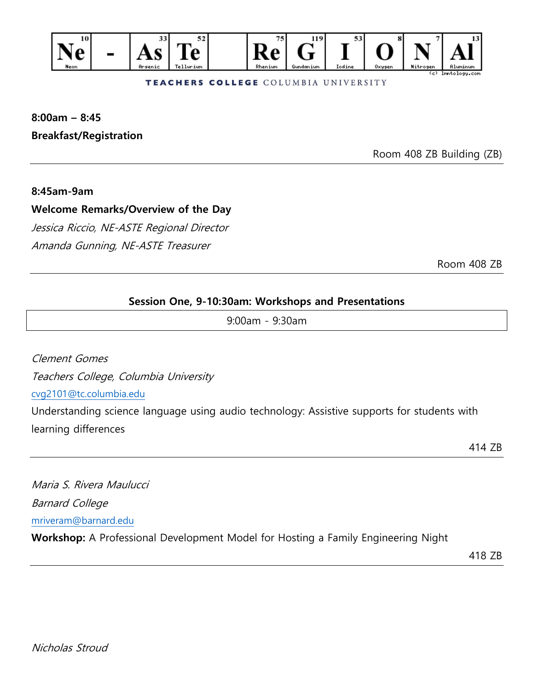

#### TEACHERS COLLEGE COLUMBIA UNIVERSITY

# **8:00am – 8:45 Breakfast/Registration**

Room 408 ZB Building (ZB)

#### **8:45am-9am**

**Welcome Remarks/Overview of the Day** 

Jessica Riccio, NE-ASTE Regional Director Amanda Gunning, NE-ASTE Treasurer

Room 408 ZB

### **Session One, 9-10:30am: Workshops and Presentations**

9:00am - 9:30am

Clement Gomes Teachers College, Columbia University [cvg2101@tc.columbia.edu](mailto:cvg2101@tc.columbia.edu) Understanding science language using audio technology: Assistive supports for students with learning differences

414 ZB

Maria S. Rivera Maulucci Barnard College [mriveram@barnard.edu](mailto:mriveram@barnard.edu) **Workshop:** A Professional Development Model for Hosting a Family Engineering Night

418 ZB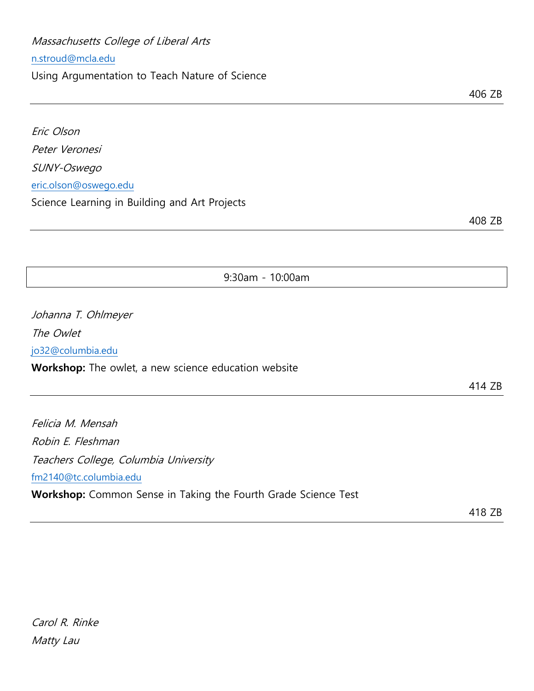Massachusetts College of Liberal Arts

#### [n.stroud@mcla.edu](mailto:n.stroud@mcla.edu)

Using Argumentation to Teach Nature of Science

Eric Olson Peter Veronesi SUNY-Oswego [eric.olson@oswego.edu](mailto:eric.olson@oswego.edu) Science Learning in Building and Art Projects

408 ZB

9:30am - 10:00am

Johanna T. Ohlmeyer The Owlet [jo32@columbia.edu](mailto:jo32@columbia.edu) **Workshop:** The owlet, a new science education website

414 ZB

Felicia M. Mensah Robin E. Fleshman Teachers College, Columbia University [fm2140@tc.columbia.edu](mailto:fm2140@tc.columbia.edu) **Workshop:** Common Sense in Taking the Fourth Grade Science Test

418 ZB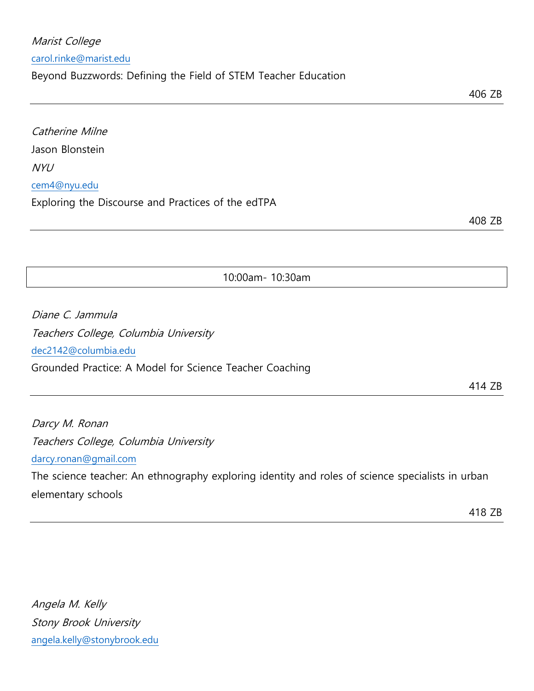Angela M. Kelly Stony Brook University [angela.kelly@stonybrook.edu](mailto:angela.kelly@stonybrook.edu)

## Catherine Milne Jason Blonstein

[cem4@nyu.edu](mailto:cem4@nyu.edu)

NYU

Exploring the Discourse and Practices of the edTPA

Beyond Buzzwords: Defining the Field of STEM Teacher Education

Diane C. Jammula Teachers College, Columbia University

[dec2142@columbia.edu](mailto:dec2142@columbia.edu) Grounded Practice: A Model for Science Teacher Coaching

Darcy M. Ronan Teachers College, Columbia University [darcy.ronan@gmail.com](mailto:darcy.ronan@gmail.com)

The science teacher: An ethnography exploring identity and roles of science specialists in urban elementary schools

10:00am- 10:30am

414 ZB

Marist College

[carol.rinke@marist.edu](mailto:carol.rinke@marist.edu)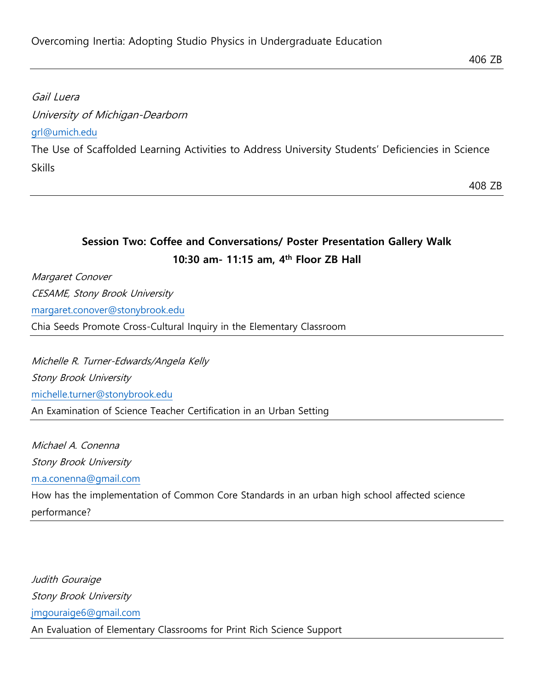# Gail Luera University of Michigan-Dearborn [grl@umich.edu](mailto:grl@umich.edu) The Use of Scaffolded Learning Activities to Address University Students' Deficiencies in Science Skills

408 ZB

# **Session Two: Coffee and Conversations/ Poster Presentation Gallery Walk 10:30 am- 11:15 am, 4 th Floor ZB Hall**

Margaret Conover CESAME, Stony Brook University [margaret.conover@stonybrook.edu](mailto:margaret.conover@stonybrook.edu) Chia Seeds Promote Cross-Cultural Inquiry in the Elementary Classroom

Michelle R. Turner-Edwards/Angela Kelly Stony Brook University [michelle.turner@stonybrook.edu](mailto:michelle.turner@stonybrook.edu) An Examination of Science Teacher Certification in an Urban Setting

Michael A. Conenna Stony Brook University [m.a.conenna@gmail.com](mailto:m.a.conenna@gmail.com) How has the implementation of Common Core Standards in an urban high school affected science performance?

Judith Gouraige Stony Brook University [jmgouraige6@gmail.com](mailto:jmgouraige6@gmail.com) An Evaluation of Elementary Classrooms for Print Rich Science Support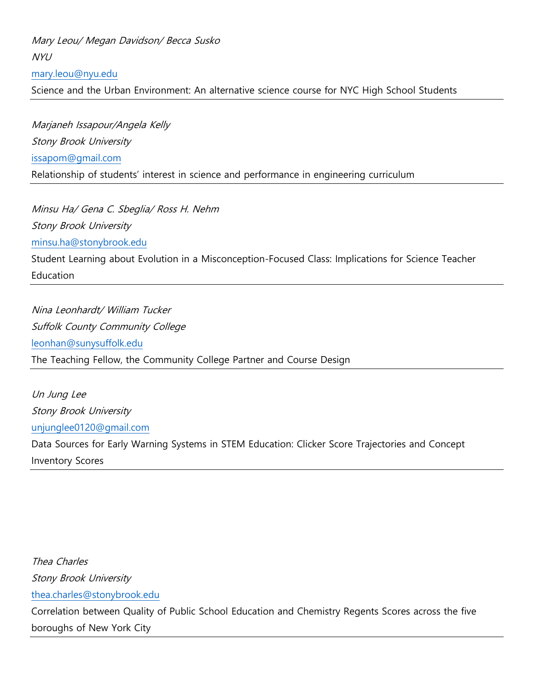Mary Leou/ Megan Davidson/ Becca Susko NYU [mary.leou@nyu.edu](mailto:mary.leou@nyu.edu) Science and the Urban Environment: An alternative science course for NYC High School Students

Marjaneh Issapour/Angela Kelly Stony Brook University [issapom@gmail.com](mailto:issapom@gmail.com) Relationship of students' interest in science and performance in engineering curriculum

Minsu Ha/ Gena C. Sbeglia/ Ross H. Nehm Stony Brook University [minsu.ha@stonybrook.edu](mailto:minsu.ha@stonybrook.edu) Student Learning about Evolution in a Misconception-Focused Class: Implications for Science Teacher Education

Nina Leonhardt/ William Tucker Suffolk County Community College [leonhan@sunysuffolk.edu](mailto:leonhan@sunysuffolk.edu) The Teaching Fellow, the Community College Partner and Course Design

Un Jung Lee Stony Brook University [unjunglee0120@gmail.com](mailto:unjunglee0120@gmail.com) Data Sources for Early Warning Systems in STEM Education: Clicker Score Trajectories and Concept Inventory Scores

Thea Charles Stony Brook University [thea.charles@stonybrook.edu](mailto:thea.charles@stonybrook.edu) Correlation between Quality of Public School Education and Chemistry Regents Scores across the five boroughs of New York City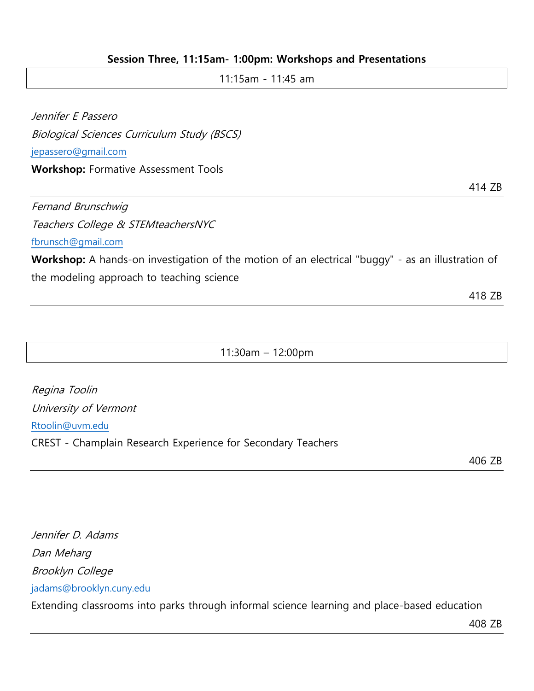### **Session Three, 11:15am- 1:00pm: Workshops and Presentations**

| 414 ZB |
|--------|
|        |
|        |
|        |

[fbrunsch@gmail.com](mailto:fbrunsch@gmail.com)

**Workshop:** A hands-on investigation of the motion of an electrical "buggy" - as an illustration of the modeling approach to teaching science

418 ZB

11:30am – 12:00pm

| Regina Toolin                                                |
|--------------------------------------------------------------|
| University of Vermont                                        |
| Rtoolin@uvm.edu                                              |
| CREST - Champlain Research Experience for Secondary Teachers |

406 ZB

Jennifer D. Adams Dan Meharg Brooklyn College [jadams@brooklyn.cuny.edu](mailto:jadams@brooklyn.cuny.edu)

Extending classrooms into parks through informal science learning and place-based education

408 ZB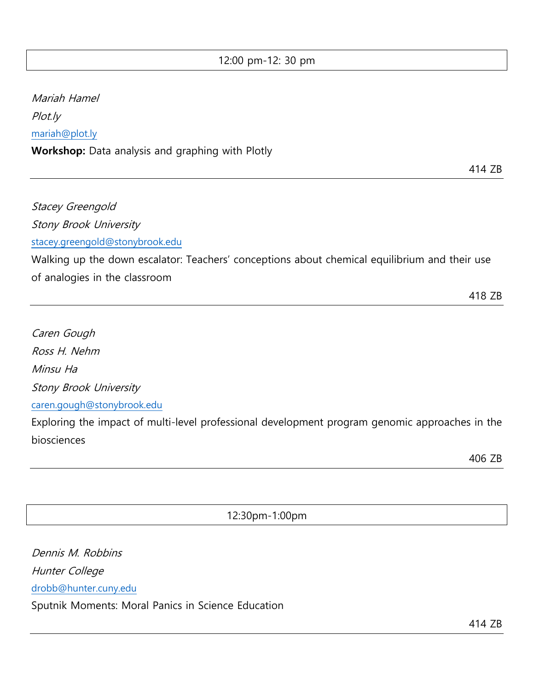12:00 pm-12: 30 pm

Mariah Hamel Plot.ly [mariah@plot.ly](mailto:mariah@plot.ly) **Workshop:** Data analysis and graphing with Plotly

Stacey Greengold Stony Brook University [stacey.greengold@stonybrook.edu](mailto:stacey.greengold@stonybrook.edu) Walking up the down escalator: Teachers' conceptions about chemical equilibrium and their use

of analogies in the classroom

418 ZB

414 ZB

Caren Gough Ross H. Nehm Minsu Ha Stony Brook University [caren.gough@stonybrook.edu](mailto:caren.gough@stonybrook.edu) Exploring the impact of multi-level professional development program genomic approaches in the biosciences

406 ZB

12:30pm-1:00pm

Dennis M. Robbins Hunter College [drobb@hunter.cuny.edu](mailto:drobb@hunter.cuny.edu) Sputnik Moments: Moral Panics in Science Education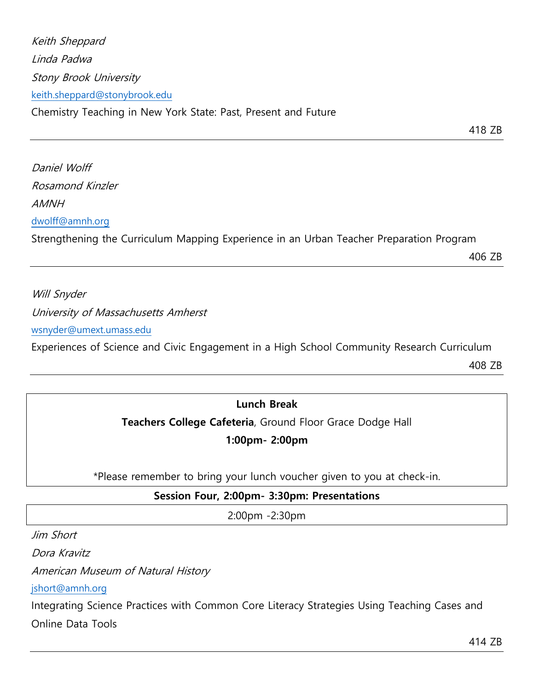Keith Sheppard Linda Padwa Stony Brook University [keith.sheppard@stonybrook.edu](mailto:keith.sheppard@stonybrook.edu)

Chemistry Teaching in New York State: Past, Present and Future

418 ZB

Daniel Wolff Rosamond Kinzler AMNH [dwolff@amnh.org](mailto:dwolff@amnh.org) Strengthening the Curriculum Mapping Experience in an Urban Teacher Preparation Program

406 ZB

Will Snyder University of Massachusetts Amherst [wsnyder@umext.umass.edu](mailto:wsnyder@umext.umass.edu) Experiences of Science and Civic Engagement in a High School Community Research Curriculum

408 ZB

# **Lunch Break**

**Teachers College Cafeteria**, Ground Floor Grace Dodge Hall

**1:00pm- 2:00pm**

\*Please remember to bring your lunch voucher given to you at check-in.

# **Session Four, 2:00pm- 3:30pm: Presentations**

2:00pm -2:30pm

Jim Short

Dora Kravitz

American Museum of Natural History

[jshort@amnh.org](mailto:jshort@amnh.org)

Integrating Science Practices with Common Core Literacy Strategies Using Teaching Cases and Online Data Tools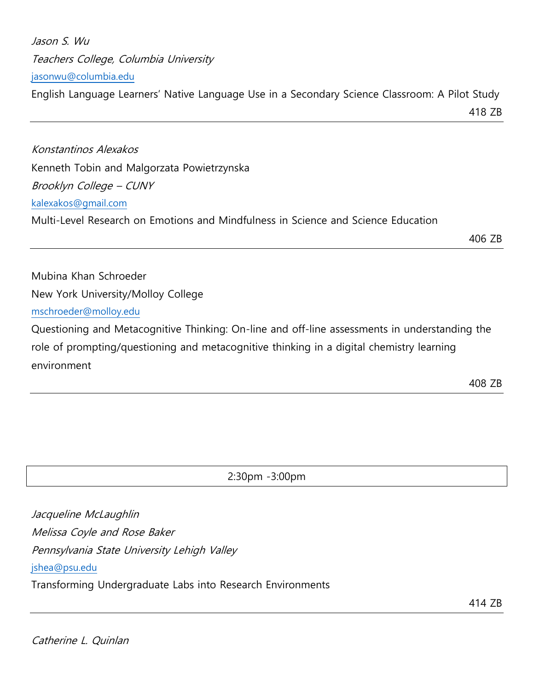| Jason S. Wu                                                                                    |        |
|------------------------------------------------------------------------------------------------|--------|
| Teachers College, Columbia University                                                          |        |
| jasonwu@columbia.edu                                                                           |        |
| English Language Learners' Native Language Use in a Secondary Science Classroom: A Pilot Study |        |
|                                                                                                | 418 ZB |
|                                                                                                |        |
| Konstantinos Alexakos                                                                          |        |
| Kenneth Tobin and Malgorzata Powietrzynska                                                     |        |
| Brooklyn College – CUNY                                                                        |        |
| kalexakos@gmail.com                                                                            |        |
| Multi-Level Research on Emotions and Mindfulness in Science and Science Education              |        |
|                                                                                                | 406 ZB |
| Mubina Khan Schroeder                                                                          |        |
| New York University/Molloy College                                                             |        |
| mschroeder@molloy.edu                                                                          |        |

Questioning and Metacognitive Thinking: On-line and off-line assessments in understanding the role of prompting/questioning and metacognitive thinking in a digital chemistry learning environment

408 ZB

2:30pm -3:00pm

Jacqueline McLaughlin Melissa Coyle and Rose Baker Pennsylvania State University Lehigh Valley [jshea@psu.edu](mailto:jshea@psu.edu) Transforming Undergraduate Labs into Research Environments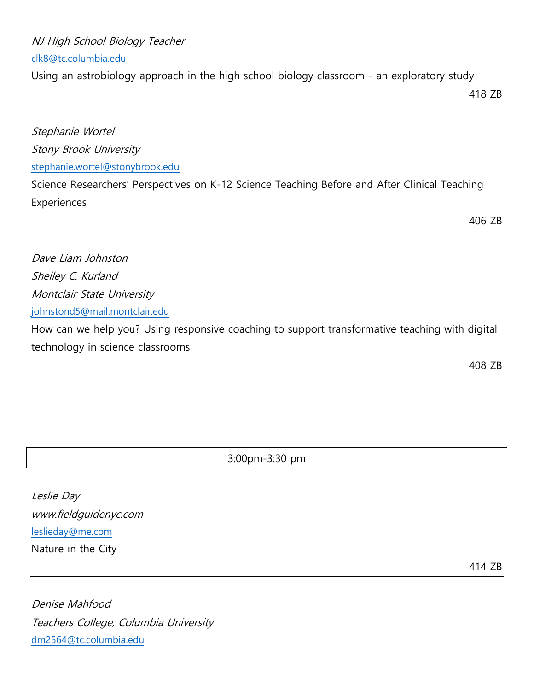### NJ High School Biology Teacher

[clk8@tc.columbia.edu](mailto:clk8@tc.columbia.edu)

Using an astrobiology approach in the high school biology classroom - an exploratory study

Stephanie Wortel Stony Brook University [stephanie.wortel@stonybrook.edu](mailto:stephanie.wortel@stonybrook.edu)

Science Researchers' Perspectives on K-12 Science Teaching Before and After Clinical Teaching Experiences

406 ZB

Dave Liam Johnston Shelley C. Kurland Montclair State University [johnstond5@mail.montclair.edu](mailto:johnstond5@mail.montclair.edu)

How can we help you? Using responsive coaching to support transformative teaching with digital technology in science classrooms

408 ZB

3:00pm-3:30 pm

Leslie Day www.fieldguidenyc.com [leslieday@me.com](mailto:leslieday@me.com) Nature in the City

414 ZB

Denise Mahfood Teachers College, Columbia University [dm2564@tc.columbia.edu](mailto:dm2564@tc.columbia.edu)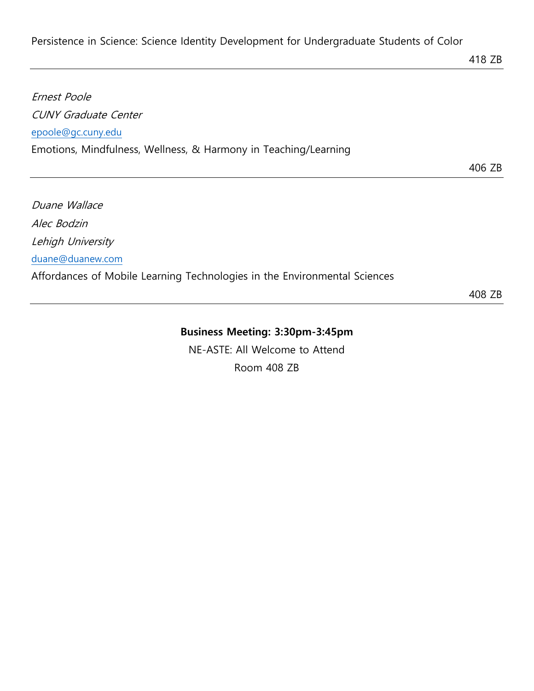Persistence in Science: Science Identity Development for Undergraduate Students of Color

# Ernest Poole CUNY Graduate Center [epoole@gc.cuny.edu](mailto:epoole@gc.cuny.edu) Emotions, Mindfulness, Wellness, & Harmony in Teaching/Learning

406 ZB

Duane Wallace Alec Bodzin Lehigh University [duane@duanew.com](mailto:duane@duanew.com) Affordances of Mobile Learning Technologies in the Environmental Sciences

408 ZB

# **Business Meeting: 3:30pm-3:45pm**

NE-ASTE: All Welcome to Attend Room 408 ZB